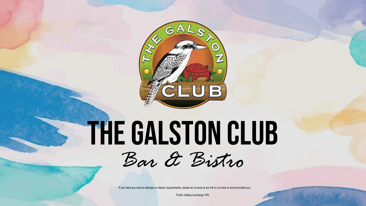

# THE GALSTON CLUB



If you have any serious allergies or dietary requirements, please let us know & we will try our best to accommodate you

Public holiday surcharge 10%